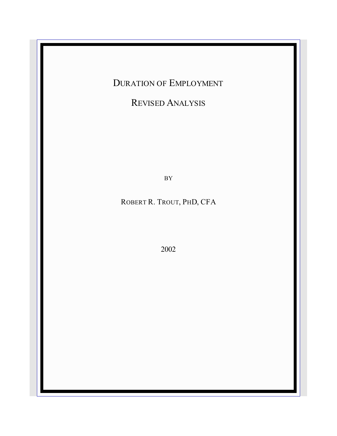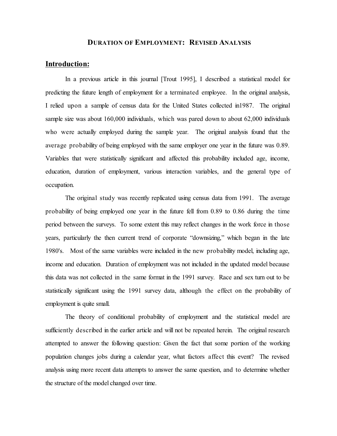#### **DURATION OF EMPLOYMENT: REVISED ANALYSIS**

### **Introduction:**

In a previous article in this journal [Trout 1995], I described a statistical model for predicting the future length of employment for a terminated employee. In the original analysis, I relied upon a sample of census data for the United States collected in1987. The original sample size was about 160,000 individuals, which was pared down to about 62,000 individuals who were actually employed during the sample year. The original analysis found that the average probability of being employed with the same employer one year in the future was 0.89. Variables that were statistically significant and affected this probability included age, income, education, duration of employment, various interaction variables, and the general type of occupation.

The original study was recently replicated using census data from 1991. The average probability of being employed one year in the future fell from 0.89 to 0.86 during the time period between the surveys. To some extent this may reflect changes in the work force in those years, particularly the then current trend of corporate "downsizing," which began in the late 1980's. Most of the same variables were included in the new probability model, including age, income and education. Duration of employment was not included in the updated model because this data was not collected in the same format in the 1991 survey. Race and sex turn out to be statistically significant using the 1991 survey data, although the effect on the probability of employment is quite small.

The theory of conditional probability of employment and the statistical model are sufficiently described in the earlier article and will not be repeated herein. The original research attempted to answer the following question: Given the fact that some portion of the working population changes jobs during a calendar year, what factors affect this event? The revised analysis using more recent data attempts to answer the same question, and to determine whether the structure of the model changed over time.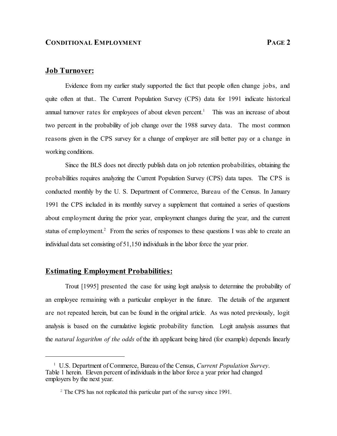# **Job Turnover:**

Evidence from my earlier study supported the fact that people often change jobs, and quite often at that.. The Current Population Survey (CPS) data for 1991 indicate historical annual turnover rates for employees of about eleven percent.<sup>1</sup> This was an increase of about two percent in the probability of job change over the 1988 survey data. The most common reasons given in the CPS survey for a change of employer are still better pay or a change in working conditions.

Since the BLS does not directly publish data on job retention probabilities, obtaining the probabilities requires analyzing the Current Population Survey (CPS) data tapes. The CPS is conducted monthly by the U. S. Department of Commerce, Bureau of the Census. In January 1991 the CPS included in its monthly survey a supplement that contained a series of questions about employment during the prior year, employment changes during the year, and the current status of employment.<sup>2</sup> From the series of responses to these questions I was able to create an individual data set consisting of 51,150 individuals in the labor force the year prior.

### **Estimating Employment Probabilities:**

Trout [1995] presented the case for using logit analysis to determine the probability of an employee remaining with a particular employer in the future. The details of the argument are not repeated herein, but can be found in the original article. As was noted previously, logit analysis is based on the cumulative logistic probability function. Logit analysis assumes that the *natural logarithm of the odds* of the ith applicant being hired (for example) depends linearly

<sup>&</sup>lt;sup>1</sup> U.S. Department of Commerce, Bureau of the Census, *Current Population Survey*. Table 1 herein. Eleven percent of individuals in the labor force a year prior had changed employers by the next year.

<sup>&</sup>lt;sup>2</sup> The CPS has not replicated this particular part of the survey since 1991.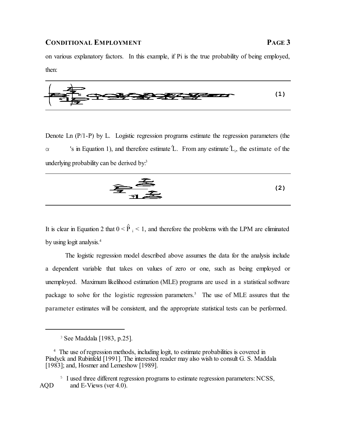

Denote Ln (P/1-P) by L. Logistic regression programs estimate the regression parameters (the  $\alpha$  's in Equation 1), and therefore estimate  $\hat{L}$ . From any estimate  $\hat{L}$ , the estimate of the underlying probability can be derived by.<sup>3</sup>

$$
\widehat{\mathbf{F}}_{\mathbf{H}} \widehat{\mathbf{F}}_{\mathbf{H}} \tag{2}
$$

It is clear in Equation 2 that  $0 < \hat{P}_i < 1$ , and therefore the problems with the LPM are eliminated by using logit analysis. 4

The logistic regression model described above assumes the data for the analysis include a dependent variable that takes on values of zero or one, such as being employed or unemployed. Maximum likelihood estimation (MLE) programs are used in a statistical software package to solve for the logistic regression parameters.<sup>5</sup> The use of MLE assures that the parameter estimates will be consistent, and the appropriate statistical tests can be performed.

<sup>5</sup> I used three different regression programs to estimate regression parameters: NCSS, AQD and E-Views (ver 4.0).

<sup>3</sup> See Maddala [1983, p.25].

<sup>&</sup>lt;sup>4</sup> The use of regression methods, including logit, to estimate probabilities is covered in Pindyck and Rubinfeld [1991]. The interested reader may also wish to consult G. S. Maddala [1983]; and, Hosmer and Lemeshow [1989].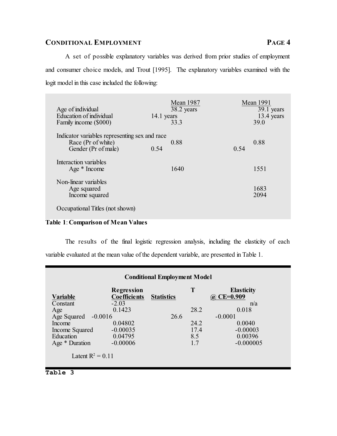A set of possible explanatory variables was derived from prior studies of employment and consumer choice models, and Trout [1995]. The explanatory variables examined with the logit model in this case included the following:

| Age of individual<br>Education of individual<br>Family income (\$000)                      | 14.1 years | <b>Mean 1987</b><br>38.2 years<br>33.3 |      | <b>Mean 1991</b><br>39.1 years<br>13.4 years<br>39.0 |
|--------------------------------------------------------------------------------------------|------------|----------------------------------------|------|------------------------------------------------------|
| Indicator variables representing sex and race<br>Race (Pr of white)<br>Gender (Pr of male) | 0.54       | 0.88                                   | 0.54 | 0.88                                                 |
| Interaction variables<br>Age * Income                                                      |            | 1640                                   |      | 1551                                                 |
| Non-linear variables<br>Age squared<br>Income squared                                      |            |                                        |      | 1683<br>2094                                         |
| Occupational Titles (not shown)                                                            |            |                                        |      |                                                      |

# **Table 1**: **Comparison of Mean Values**

The results of the final logistic regression analysis, including the elasticity of each variable evaluated at the mean value of the dependent variable, are presented in Table 1.

|                          | <b>Regression</b>   |                   | T    | <b>Elasticity</b> |
|--------------------------|---------------------|-------------------|------|-------------------|
| Variable                 | <b>Coefficients</b> | <b>Statistics</b> |      | $CE = 0.909$      |
| Constant                 | $-2.03$             |                   |      | n/a               |
| Age                      | 0.1423              |                   | 28.2 | 0.018             |
| Age Squared<br>$-0.0016$ |                     | 26.6              |      | $-0.0001$         |
| Income                   | 0.04802             |                   | 24.2 | 0.0040            |
| Income Squared           | $-0.00035$          |                   | 17.4 | $-0.00003$        |
| Education                | 0.04795             |                   | 8.5  | 0.00396           |
| Age * Duration           | $-0.00006$          |                   | 1.7  | $-0.000005$       |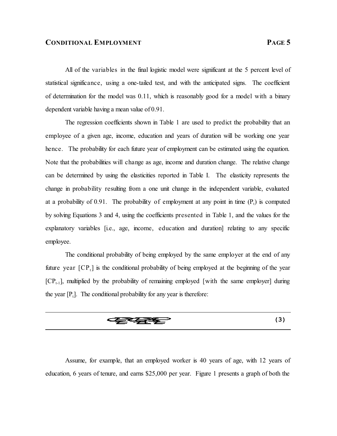All of the variables in the final logistic model were significant at the 5 percent level of statistical significance, using a one-tailed test, and with the anticipated signs. The coefficient of determination for the model was 0.11, which is reasonably good for a model with a binary dependent variable having a mean value of 0.91.

The regression coefficients shown in Table 1 are used to predict the probability that an employee of a given age, income, education and years of duration will be working one year hence. The probability for each future year of employment can be estimated using the equation. Note that the probabilities will change as age, income and duration change. The relative change can be determined by using the elasticities reported in Table I. The elasticity represents the change in probability resulting from a one unit change in the independent variable, evaluated at a probability of 0.91. The probability of employment at any point in time  $(P_t)$  is computed by solving Equations 3 and 4, using the coefficients presented in Table 1, and the values for the explanatory variables [i.e., age, income, education and duration] relating to any specific employee.

The conditional probability of being employed by the same employer at the end of any future year  $[CP_t]$  is the conditional probability of being employed at the beginning of the year  $[CP_{t-1}]$ , multiplied by the probability of remaining employed [with the same employer] during the year  $[P_t]$ . The conditional probability for any year is therefore:



Assume, for example, that an employed worker is 40 years of age, with 12 years of education, 6 years of tenure, and earns \$25,000 per year. Figure 1 presents a graph of both the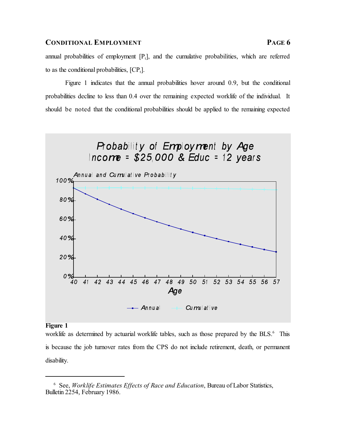annual probabilities of employment  $[P_t]$ , and the cumulative probabilities, which are referred to as the conditional probabilities,  $[CP_t]$ .

Figure 1 indicates that the annual probabilities hover around 0.9, but the conditional probabilities decline to less than 0.4 over the remaining expected worklife of the individual. It should be noted that the conditional probabilities should be applied to the remaining expected



#### **Figure 1**

worklife as determined by actuarial worklife tables, such as those prepared by the BLS.<sup>6</sup> This is because the job turnover rates from the CPS do not include retirement, death, or permanent disability.

<sup>6</sup> See, *Worklife Estimates Effects of Race and Education*, Bureau of Labor Statistics, Bulletin 2254, February 1986.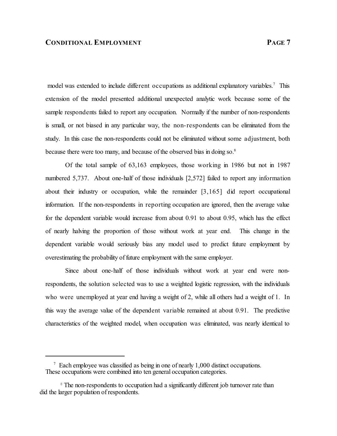model was extended to include different occupations as additional explanatory variables.<sup>7</sup> This extension of the model presented additional unexpected analytic work because some of the sample respondents failed to report any occupation. Normally if the number of non-respondents is small, or not biased in any particular way, the non-respondents can be eliminated from the study. In this case the non-respondents could not be eliminated without some adjustment, both because there were too many, and because of the observed bias in doing so.<sup>8</sup>

Of the total sample of 63,163 employees, those working in 1986 but not in 1987 numbered 5,737. About one-half of those individuals [2,572] failed to report any information about their industry or occupation, while the remainder [3,165] did report occupational information. If the non-respondents in reporting occupation are ignored, then the average value for the dependent variable would increase from about 0.91 to about 0.95, which has the effect of nearly halving the proportion of those without work at year end. This change in the dependent variable would seriously bias any model used to predict future employment by overestimating the probability of future employment with the same employer.

Since about one-half of those individuals without work at year end were nonrespondents, the solution selected was to use a weighted logistic regression, with the individuals who were unemployed at year end having a weight of 2, while all others had a weight of 1. In this way the average value of the dependent variable remained at about 0.91. The predictive characteristics of the weighted model, when occupation was eliminated, was nearly identical to

<sup>&</sup>lt;sup>7</sup> Each employee was classified as being in one of nearly 1,000 distinct occupations. These occupations were combined into ten general occupation categories.

<sup>&</sup>lt;sup>8</sup> The non-respondents to occupation had a significantly different job turnover rate than did the larger population of respondents.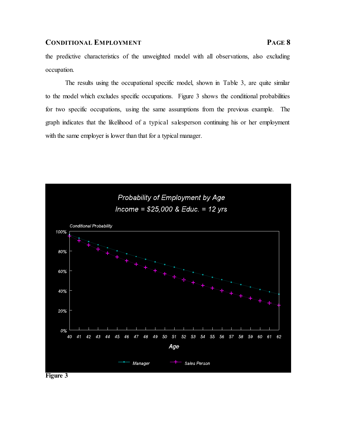the predictive characteristics of the unweighted model with all observations, also excluding occupation.

The results using the occupational specific model, shown in Table 3, are quite similar to the model which excludes specific occupations. Figure 3 shows the conditional probabilities for two specific occupations, using the same assumptions from the previous example. The graph indicates that the likelihood of a typical salesperson continuing his or her employment with the same employer is lower than that for a typical manager.



**Figure 3**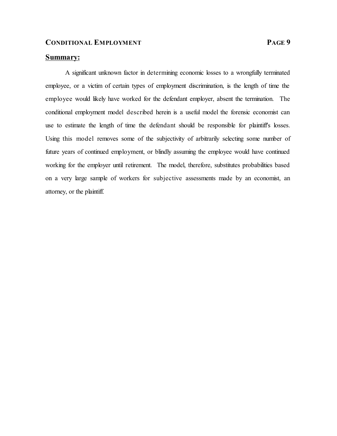# **Summary:**

A significant unknown factor in determining economic losses to a wrongfully terminated employee, or a victim of certain types of employment discrimination, is the length of time the employee would likely have worked for the defendant employer, absent the termination. The conditional employment model described herein is a useful model the forensic economist can use to estimate the length of time the defendant should be responsible for plaintiff's losses. Using this model removes some of the subjectivity of arbitrarily selecting some number of future years of continued employment, or blindly assuming the employee would have continued working for the employer until retirement. The model, therefore, substitutes probabilities based on a very large sample of workers for subjective assessments made by an economist, an attorney, or the plaintiff.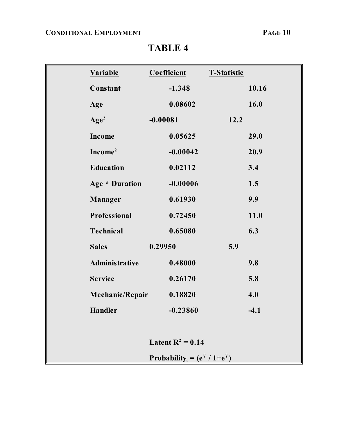|                                                              | <b>Variable</b>       |            | Coefficient | <b>T-Statistic</b> |        |  |  |
|--------------------------------------------------------------|-----------------------|------------|-------------|--------------------|--------|--|--|
|                                                              | Constant              |            | $-1.348$    |                    | 10.16  |  |  |
|                                                              | Age                   |            | 0.08602     |                    | 16.0   |  |  |
|                                                              | Age <sup>2</sup>      | $-0.00081$ |             | 12.2               |        |  |  |
|                                                              | <b>Income</b>         |            | 0.05625     |                    | 29.0   |  |  |
|                                                              | Income <sup>2</sup>   |            | $-0.00042$  |                    | 20.9   |  |  |
|                                                              | <b>Education</b>      |            | 0.02112     |                    | 3.4    |  |  |
|                                                              | <b>Age * Duration</b> |            | $-0.00006$  |                    | 1.5    |  |  |
|                                                              | <b>Manager</b>        |            | 0.61930     |                    | 9.9    |  |  |
|                                                              | Professional          |            | 0.72450     |                    | 11.0   |  |  |
|                                                              | <b>Technical</b>      |            | 0.65080     |                    | 6.3    |  |  |
|                                                              | <b>Sales</b>          | 0.29950    |             | 5.9                |        |  |  |
|                                                              | Administrative        |            | 0.48000     |                    | 9.8    |  |  |
|                                                              | <b>Service</b>        |            | 0.26170     |                    | 5.8    |  |  |
|                                                              | Mechanic/Repair       |            | 0.18820     |                    | 4.0    |  |  |
|                                                              | <b>Handler</b>        |            | $-0.23860$  |                    | $-4.1$ |  |  |
|                                                              |                       |            |             |                    |        |  |  |
| Latent $R^2 = 0.14$                                          |                       |            |             |                    |        |  |  |
| Probability <sub>t</sub> = $(e^{\hat{Y}} / 1 + e^{\hat{Y}})$ |                       |            |             |                    |        |  |  |

**TABLE 4**